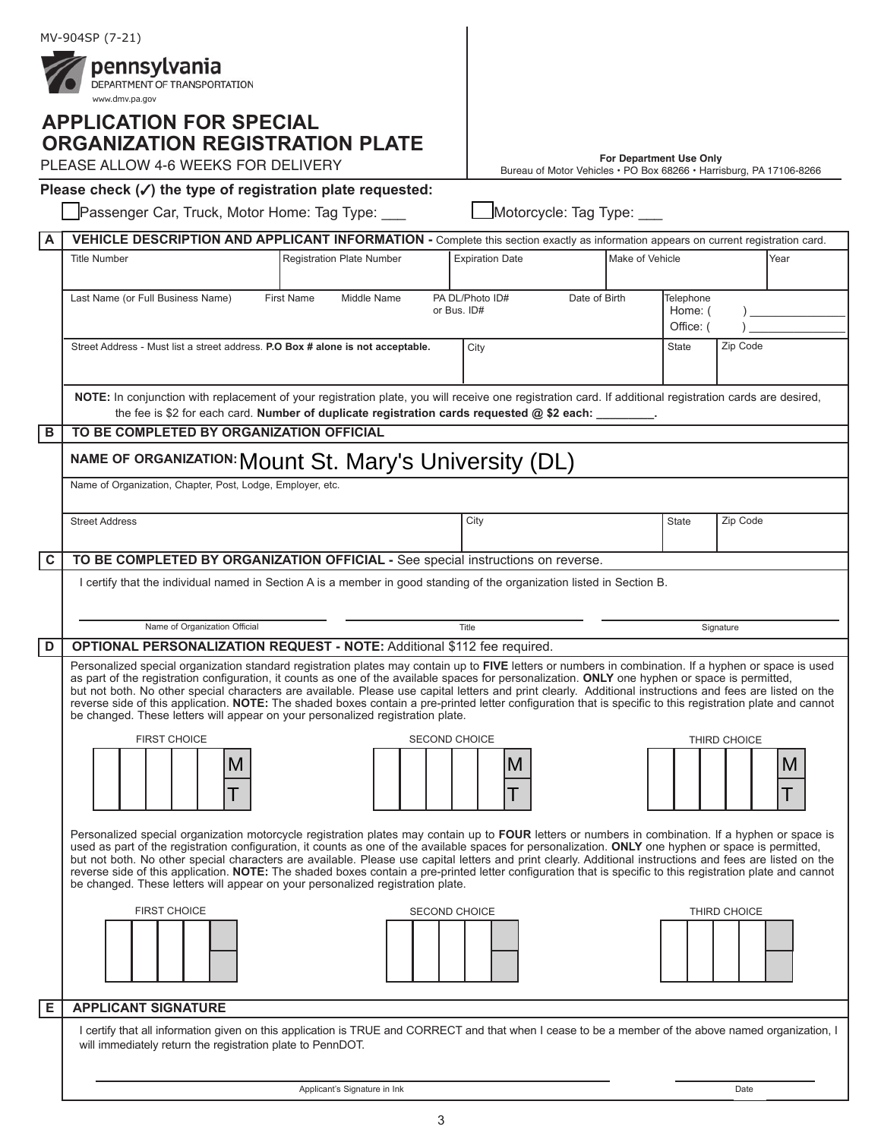|     | MV-904SP (7-21)                                                                                                                                                                                                                                                                                                                                                                                                                                                                                                                                                                                                                                                                                                         |                                                                     |                         |                                   |              |      |
|-----|-------------------------------------------------------------------------------------------------------------------------------------------------------------------------------------------------------------------------------------------------------------------------------------------------------------------------------------------------------------------------------------------------------------------------------------------------------------------------------------------------------------------------------------------------------------------------------------------------------------------------------------------------------------------------------------------------------------------------|---------------------------------------------------------------------|-------------------------|-----------------------------------|--------------|------|
|     | pennsylvania<br>DEPARTMENT OF TRANSPORTATION<br>www.dmv.pa.gov                                                                                                                                                                                                                                                                                                                                                                                                                                                                                                                                                                                                                                                          |                                                                     |                         |                                   |              |      |
|     | <b>APPLICATION FOR SPECIAL</b><br><b>ORGANIZATION REGISTRATION PLATE</b>                                                                                                                                                                                                                                                                                                                                                                                                                                                                                                                                                                                                                                                |                                                                     |                         |                                   |              |      |
|     | PLEASE ALLOW 4-6 WEEKS FOR DELIVERY                                                                                                                                                                                                                                                                                                                                                                                                                                                                                                                                                                                                                                                                                     | Bureau of Motor Vehicles · PO Box 68266 · Harrisburg, PA 17106-8266 | For Department Use Only |                                   |              |      |
|     | Please check $(\checkmark)$ the type of registration plate requested:                                                                                                                                                                                                                                                                                                                                                                                                                                                                                                                                                                                                                                                   |                                                                     |                         |                                   |              |      |
|     | Passenger Car, Truck, Motor Home: Tag Type:                                                                                                                                                                                                                                                                                                                                                                                                                                                                                                                                                                                                                                                                             | Motorcycle: Tag Type: ___                                           |                         |                                   |              |      |
| A   | VEHICLE DESCRIPTION AND APPLICANT INFORMATION - Complete this section exactly as information appears on current registration card.                                                                                                                                                                                                                                                                                                                                                                                                                                                                                                                                                                                      |                                                                     |                         |                                   |              |      |
|     | <b>Registration Plate Number</b><br><b>Title Number</b>                                                                                                                                                                                                                                                                                                                                                                                                                                                                                                                                                                                                                                                                 | <b>Expiration Date</b>                                              | Make of Vehicle         |                                   |              | Year |
|     | First Name<br>Last Name (or Full Business Name)<br>Middle Name<br>or Bus. ID#                                                                                                                                                                                                                                                                                                                                                                                                                                                                                                                                                                                                                                           | PA DL/Photo ID#<br>Date of Birth                                    |                         | Telephone<br>Home: (<br>Office: ( |              |      |
|     | Street Address - Must list a street address. P.O Box # alone is not acceptable.                                                                                                                                                                                                                                                                                                                                                                                                                                                                                                                                                                                                                                         | City                                                                |                         | <b>State</b>                      | Zip Code     |      |
|     | NOTE: In conjunction with replacement of your registration plate, you will receive one registration card. If additional registration cards are desired,<br>the fee is \$2 for each card. Number of duplicate registration cards requested @ \$2 each: _____                                                                                                                                                                                                                                                                                                                                                                                                                                                             |                                                                     |                         |                                   |              |      |
| В   | TO BE COMPLETED BY ORGANIZATION OFFICIAL                                                                                                                                                                                                                                                                                                                                                                                                                                                                                                                                                                                                                                                                                |                                                                     |                         |                                   |              |      |
|     | NAME OF ORGANIZATION: Mount St. Mary's University (DL)                                                                                                                                                                                                                                                                                                                                                                                                                                                                                                                                                                                                                                                                  |                                                                     |                         |                                   |              |      |
|     | Name of Organization, Chapter, Post, Lodge, Employer, etc.                                                                                                                                                                                                                                                                                                                                                                                                                                                                                                                                                                                                                                                              |                                                                     |                         |                                   |              |      |
|     | <b>Street Address</b>                                                                                                                                                                                                                                                                                                                                                                                                                                                                                                                                                                                                                                                                                                   | City                                                                |                         | State                             | Zip Code     |      |
| l c | TO BE COMPLETED BY ORGANIZATION OFFICIAL - See special instructions on reverse.                                                                                                                                                                                                                                                                                                                                                                                                                                                                                                                                                                                                                                         |                                                                     |                         |                                   |              |      |
|     | I certify that the individual named in Section A is a member in good standing of the organization listed in Section B.                                                                                                                                                                                                                                                                                                                                                                                                                                                                                                                                                                                                  |                                                                     |                         |                                   |              |      |
|     | Name of Organization Official                                                                                                                                                                                                                                                                                                                                                                                                                                                                                                                                                                                                                                                                                           | Title                                                               |                         |                                   | Signature    |      |
| D   | <b>OPTIONAL PERSONALIZATION REQUEST - NOTE: Additional \$112 fee required.</b>                                                                                                                                                                                                                                                                                                                                                                                                                                                                                                                                                                                                                                          |                                                                     |                         |                                   |              |      |
|     | Personalized special organization standard registration plates may contain up to FIVE letters or numbers in combination. If a hyphen or space is used<br>as part of the registration configuration, it counts as one of the available spaces for personalization. ONLY one hyphen or space is permitted,<br>but not both. No other special characters are available. Please use capital letters and print clearly. Additional instructions and fees are listed on the<br>reverse side of this application. NOTE: The shaded boxes contain a pre-printed letter configuration that is specific to this registration plate and cannot<br>be changed. These letters will appear on your personalized registration plate.   |                                                                     |                         |                                   |              |      |
|     | <b>FIRST CHOICE</b><br><b>SECOND CHOICE</b><br>THIRD CHOICE                                                                                                                                                                                                                                                                                                                                                                                                                                                                                                                                                                                                                                                             |                                                                     |                         |                                   |              |      |
|     | M                                                                                                                                                                                                                                                                                                                                                                                                                                                                                                                                                                                                                                                                                                                       | M                                                                   |                         |                                   |              | M    |
|     | Personalized special organization motorcycle registration plates may contain up to FOUR letters or numbers in combination. If a hyphen or space is<br>used as part of the registration configuration, it counts as one of the available spaces for personalization. ONLY one hyphen or space is permitted,<br>but not both. No other special characters are available. Please use capital letters and print clearly. Additional instructions and fees are listed on the<br>reverse side of this application. NOTE: The shaded boxes contain a pre-printed letter configuration that is specific to this registration plate and cannot<br>be changed. These letters will appear on your personalized registration plate. |                                                                     |                         |                                   |              |      |
|     | <b>FIRST CHOICE</b><br><b>SECOND CHOICE</b>                                                                                                                                                                                                                                                                                                                                                                                                                                                                                                                                                                                                                                                                             |                                                                     |                         |                                   | THIRD CHOICE |      |
| E   | <b>APPLICANT SIGNATURE</b>                                                                                                                                                                                                                                                                                                                                                                                                                                                                                                                                                                                                                                                                                              |                                                                     |                         |                                   |              |      |
|     | I certify that all information given on this application is TRUE and CORRECT and that when I cease to be a member of the above named organization, I<br>will immediately return the registration plate to PennDOT.                                                                                                                                                                                                                                                                                                                                                                                                                                                                                                      |                                                                     |                         |                                   |              |      |

| Applicant's Signature in Ink | Date |
|------------------------------|------|

3